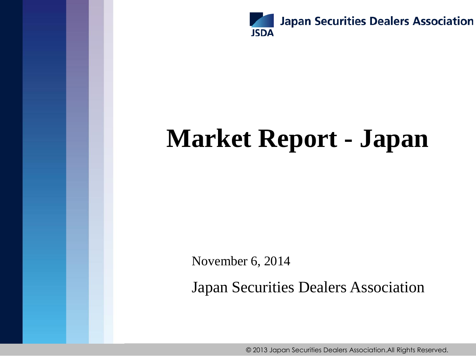

# **Market Report - Japan**

November 6, 2014

Japan Securities Dealers Association

© 2013 Japan Securities Dealers Association.All Rights Reserved.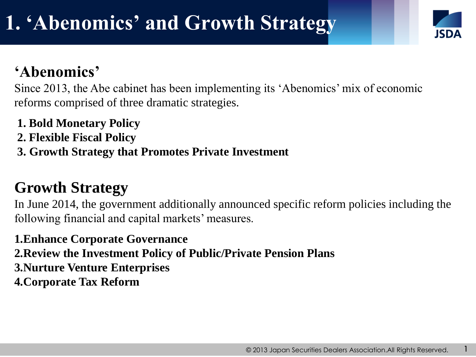### **'Abenomics'**

Since 2013, the Abe cabinet has been implementing its 'Abenomics' mix of economic reforms comprised of three dramatic strategies.

- **1. Bold Monetary Policy**
- **2. Flexible Fiscal Policy**
- **3. Growth Strategy that Promotes Private Investment**

### **Growth Strategy**

In June 2014, the government additionally announced specific reform policies including the following financial and capital markets' measures.

**1.Enhance Corporate Governance 2.Review the Investment Policy of Public/Private Pension Plans 3.Nurture Venture Enterprises 4.Corporate Tax Reform**

1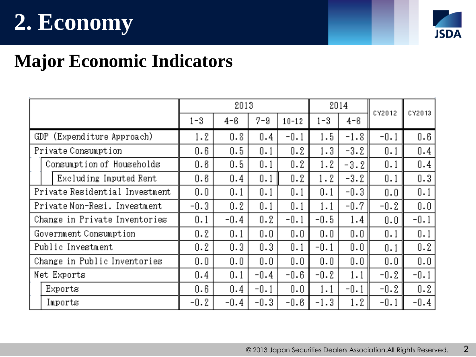# **2. Economy**



# **Major Economic Indicators**

|                                |                           | 2013    |        |        |           | 2014    |        | CY2012 |        |
|--------------------------------|---------------------------|---------|--------|--------|-----------|---------|--------|--------|--------|
|                                |                           | $1 - 3$ | 4-6    | 7-9    | $10 - 12$ | $1 - 3$ | 4-6    |        | CY2013 |
| GDP (Expenditure Approach)     |                           | 1.2     | 0.8    | 0.4    | $-0.1$    | 1.5     | $-1.8$ | $-0.1$ | 0.6    |
| Private Consumption            |                           | 0.6     | 0.5    | 0.1    | 0.2       | 1.3     | $-3.2$ | 0.1    | 0.4    |
|                                | Consumption of Households | 0.6     | 0.5    | 0.1    | 0.2       | 1.2     | $-3.2$ | 0.1    | 0.4    |
|                                | Excluding Imputed Rent    | 0.6     | 0.4    | 0.1    | 0.2       | 1.2     | $-3.2$ | 0.1    | 0.3    |
| Private Residential Investment |                           | 0.0     | 0.1    | 0.1    | 0.1       | 0.1     | $-0.3$ | 0.0    | 0.1    |
| Private Non-Resi. Investment   |                           | $-0.3$  | 0.2    | 0.1    | 0.1       | 1.1     | $-0.7$ | $-0.2$ | 0.0    |
| Change in Private Inventories  |                           | 0.1     | $-0.4$ | 0.2    | $-0.1$    | $-0.5$  | 1.4    | 0.0    | $-0.1$ |
| Government Consumption         |                           | 0.2     | 0.1    | 0.0    | 0.0       | 0.0     | 0.0    | 0.1    | 0.1    |
| Public Investment              |                           | 0.2     | 0.3    | 0.3    | 0.1       | $-0.1$  | 0.0    | 0.1    | 0.2    |
| Change in Public Inventories   |                           | 0.0     | 0.0    | 0.0    | 0.0       | 0.0     | 0.0    | 0.0    | 0.0    |
| Net Exports                    |                           | 0.4     | 0.1    | $-0.4$ | -0.6      | $-0.2$  | 1.1    | $-0.2$ | $-0.1$ |
|                                | Exports                   | 0.6     | 0.4    | $-0.1$ | 0.0       | 1.1     | $-0.1$ | $-0.2$ | 0.2    |
|                                | Imports                   | $-0.2$  | $-0.4$ | $-0.3$ | $-0.6$    | $-1.3$  | 1.2    | $-0.1$ | $-0.4$ |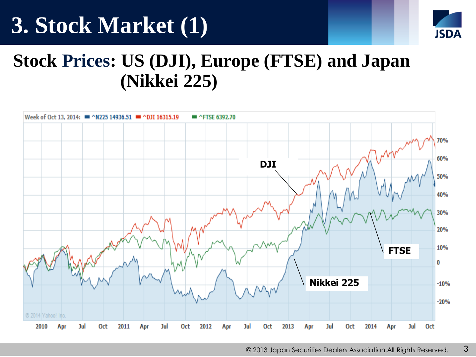# **3. Stock Market (1)**



# **Stock Prices: US (DJI), Europe (FTSE) and Japan (Nikkei 225)**

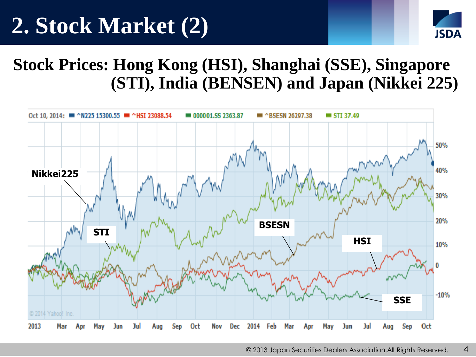# **2. Stock Market (2)**



### **Stock Prices: Hong Kong (HSI), Shanghai (SSE), Singapore (STI), India (BENSEN) and Japan (Nikkei 225)**

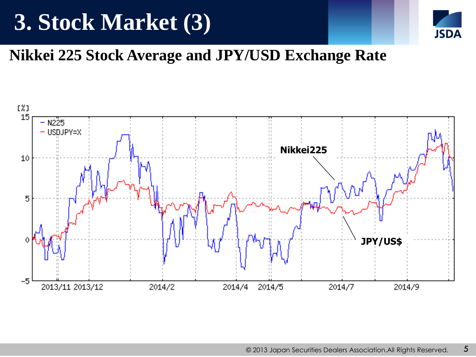# **3. Stock Market (3)**



### **Nikkei 225 Stock Average and JPY/USD Exchange Rate**

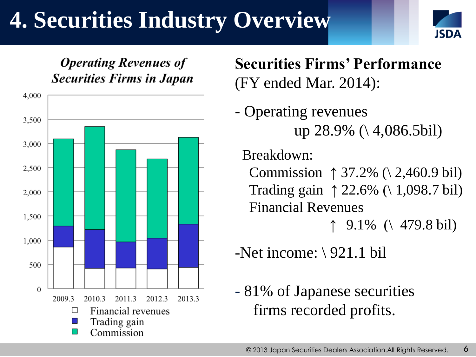# **4. Securities Industry Overview**





**Securities Firms' Performance** (FY ended Mar. 2014):

- Operating revenues up 28.9%  $( \setminus 4, 086.5 \text{bil})$ 

Breakdown:

Commission ↑ 37.2%  $( \ 2,460.9 \ 6)$  Trading gain ↑ 22.6% (\ 1,098.7 bil) Financial Revenues

↑  $9.1\%$  ( 479.8 bil)

- -Net income:  $\setminus$  921.1 bil
- 81% of Japanese securities firms recorded profits.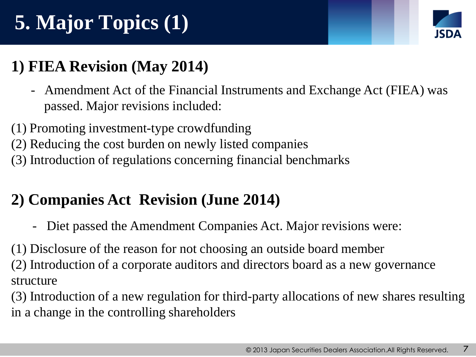# **5. Major Topics (1)**



### **1) FIEA Revision (May 2014)**

- Amendment Act of the Financial Instruments and Exchange Act (FIEA) was passed. Major revisions included:
- (1) Promoting investment-type crowdfunding
- (2) Reducing the cost burden on newly listed companies
- (3) Introduction of regulations concerning financial benchmarks

### **2) Companies Act Revision (June 2014)**

- Diet passed the Amendment Companies Act. Major revisions were:

(1) Disclosure of the reason for not choosing an outside board member (2) Introduction of a corporate auditors and directors board as a new governance structure

(3) Introduction of a new regulation for third-party allocations of new shares resulting in a change in the controlling shareholders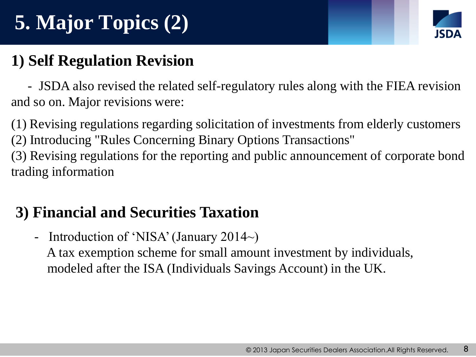# **5. Major Topics (2)**



### **1) Self Regulation Revision**

 - JSDA also revised the related self-regulatory rules along with the FIEA revision and so on. Major revisions were:

(1) Revising regulations regarding solicitation of investments from elderly customers (2) Introducing "Rules Concerning Binary Options Transactions"

(3) Revising regulations for the reporting and public announcement of corporate bond trading information

### **3) Financial and Securities Taxation**

- Introduction of 'NISA' (January 2014~)

 A tax exemption scheme for small amount investment by individuals, modeled after the ISA (Individuals Savings Account) in the UK.